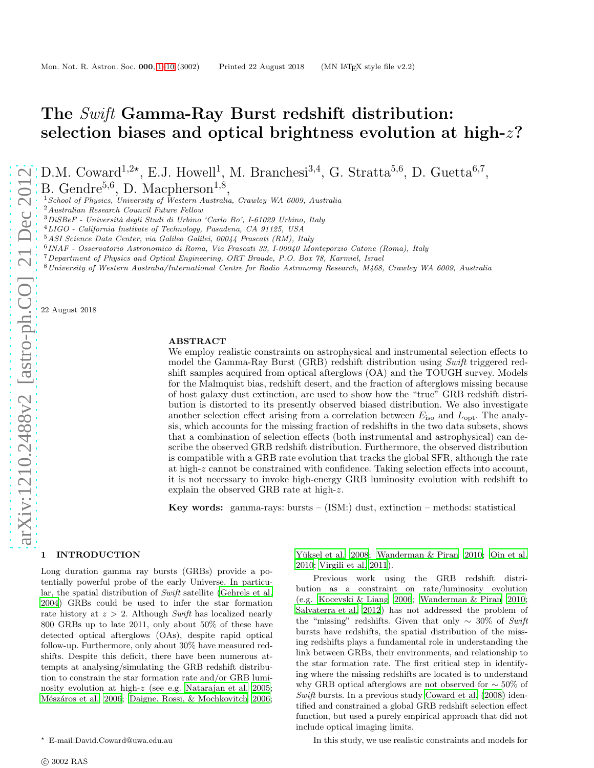# The Swift Gamma-Ray Burst redshift distribution: selection biases and optical brightness evolution at high-z?

D.M. Coward<sup>1,2\*</sup>, E.J. Howell<sup>1</sup>, M. Branchesi<sup>3,4</sup>, G. Stratta<sup>5,6</sup>, D. Guetta<sup>6,7</sup>,

B. Gendre<sup>5,6</sup>, D. Macpherson<sup>1,8</sup>,

 $1$ School of Physics, University of Western Australia, Crawley WA 6009, Australia

<sup>2</sup>Australian Research Council Future Fellow

 $3DiSBeF$  - Università degli Studi di Urbino 'Carlo Bo', I-61029 Urbino, Italy

<sup>4</sup>LIGO - California Institute of Technology, Pasadena, CA 91125, USA

<sup>5</sup>ASI Science Data Center, via Galileo Galilei, 00044 Frascati (RM), Italy

6 INAF - Osservatorio Astronomico di Roma, Via Frascati 33, I-00040 Monteporzio Catone (Roma), Italy

<sup>7</sup>Department of Physics and Optical Engineering, ORT Braude, P.O. Box 78, Karmiel, Israel

<sup>8</sup>University of Western Australia/International Centre for Radio Astronomy Research, M468, Crawley WA 6009, Australia

22 August 2018

# ABSTRACT

We employ realistic constraints on astrophysical and instrumental selection effects to model the Gamma-Ray Burst (GRB) redshift distribution using Swift triggered redshift samples acquired from optical afterglows (OA) and the TOUGH survey. Models for the Malmquist bias, redshift desert, and the fraction of afterglows missing because of host galaxy dust extinction, are used to show how the "true" GRB redshift distribution is distorted to its presently observed biased distribution. We also investigate another selection effect arising from a correlation between  $E_{\text{iso}}$  and  $L_{\text{opt}}$ . The analysis, which accounts for the missing fraction of redshifts in the two data subsets, shows that a combination of selection effects (both instrumental and astrophysical) can describe the observed GRB redshift distribution. Furthermore, the observed distribution is compatible with a GRB rate evolution that tracks the global SFR, although the rate at high-z cannot be constrained with confidence. Taking selection effects into account, it is not necessary to invoke high-energy GRB luminosity evolution with redshift to explain the observed GRB rate at high-z.

**Key words:** gamma-rays: bursts  $-$  (ISM:) dust, extinction  $-$  methods: statistical

## <span id="page-0-0"></span>1 INTRODUCTION

Long duration gamma ray bursts (GRBs) provide a potentially powerful probe of the early Universe. In particular, the spatial distribution of Swift satellite [\(Gehrels et al.](#page-7-0) [2004](#page-7-0)) GRBs could be used to infer the star formation rate history at  $z > 2$ . Although Swift has localized nearly 800 GRBs up to late 2011, only about 50% of these have detected optical afterglows (OAs), despite rapid optical follow-up. Furthermore, only about 30% have measured redshifts. Despite this deficit, there have been numerous attempts at analysing/simulating the GRB redshift distribution to constrain the star formation rate and/or GRB luminosity evolution at high-z (see e.g. [Natarajan et al. 2005;](#page-8-0) Mészáros et al. 2006; [Daigne, Rossi, & Mochkovitch 2006;](#page-7-1)

Yüksel et al. 2008; [Wanderman & Piran 2010](#page-8-3); [Qin et al.](#page-8-4) [2010](#page-8-4); [Virgili et al. 2011](#page-8-5)).

Previous work using the GRB redshift distribution as a constraint on rate/luminosity evolution (e.g. [Kocevski & Liang 2006;](#page-8-6) [Wanderman & Piran 2010](#page-8-3); [Salvaterra et al. 2012\)](#page-8-7) has not addressed the problem of the "missing" redshifts. Given that only  $\sim 30\%$  of Swift bursts have redshifts, the spatial distribution of the missing redshifts plays a fundamental role in understanding the link between GRBs, their environments, and relationship to the star formation rate. The first critical step in identifying where the missing redshifts are located is to understand why GRB optical afterglows are not observed for ∼ 50% of Swift bursts. In a previous study [Coward et al. \(2008\)](#page-7-2) identified and constrained a global GRB redshift selection effect function, but used a purely empirical approach that did not include optical imaging limits.

In this study, we use realistic constraints and models for

<sup>⋆</sup> E-mail:David.Coward@uwa.edu.au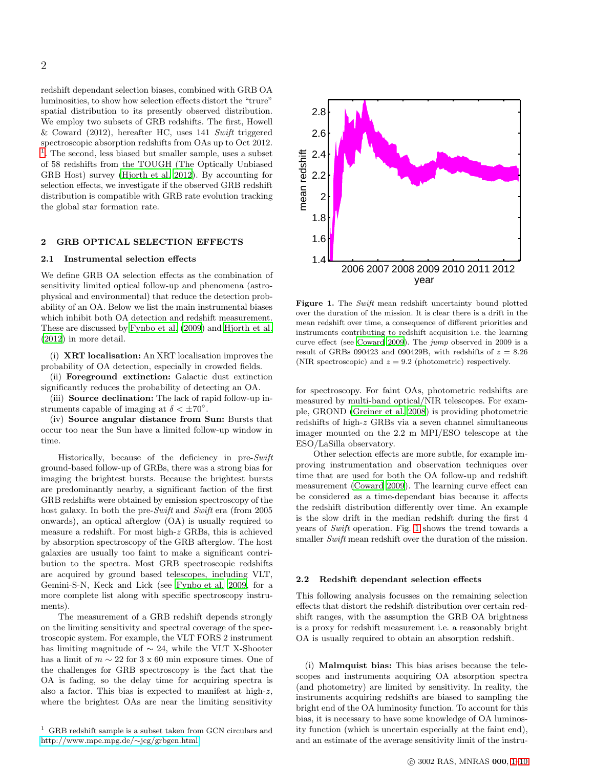redshift dependant selection biases, combined with GRB OA luminosities, to show how selection effects distort the "trure" spatial distribution to its presently observed distribution. We employ two subsets of GRB redshifts. The first, Howell & Coward (2012), hereafter HC, uses 141 Swift triggered spectroscopic absorption redshifts from OAs up to Oct 2012. [1](#page-1-0) . The second, less biased but smaller sample, uses a subset of 58 redshifts from the TOUGH (The Optically Unbiased GRB Host) survey [\(Hjorth et al. 2012](#page-7-3)). By accounting for selection effects, we investigate if the observed GRB redshift distribution is compatible with GRB rate evolution tracking the global star formation rate.

#### <span id="page-1-2"></span>2 GRB OPTICAL SELECTION EFFECTS

#### 2.1 Instrumental selection effects

We define GRB OA selection effects as the combination of sensitivity limited optical follow-up and phenomena (astrophysical and environmental) that reduce the detection probability of an OA. Below we list the main instrumental biases which inhibit both OA detection and redshift measurement. These are discussed by [Fynbo et al. \(2009\)](#page-7-4) and [Hjorth et al.](#page-7-3) [\(2012](#page-7-3)) in more detail.

(i) XRT localisation: An XRT localisation improves the probability of OA detection, especially in crowded fields.

(ii) Foreground extinction: Galactic dust extinction significantly reduces the probability of detecting an OA.

(iii) Source declination: The lack of rapid follow-up instruments capable of imaging at  $\delta < \pm 70^{\circ}$ .

(iv) Source angular distance from Sun: Bursts that occur too near the Sun have a limited follow-up window in time.

Historically, because of the deficiency in pre-Swift ground-based follow-up of GRBs, there was a strong bias for imaging the brightest bursts. Because the brightest bursts are predominantly nearby, a significant faction of the first GRB redshifts were obtained by emission spectroscopy of the host galaxy. In both the pre-Swift and Swift era (from 2005) onwards), an optical afterglow (OA) is usually required to measure a redshift. For most high-z GRBs, this is achieved by absorption spectroscopy of the GRB afterglow. The host galaxies are usually too faint to make a significant contribution to the spectra. Most GRB spectroscopic redshifts are acquired by ground based telescopes, including VLT, Gemini-S-N, Keck and Lick (see [Fynbo et al. 2009](#page-7-4), for a more complete list along with specific spectroscopy instruments).

The measurement of a GRB redshift depends strongly on the limiting sensitivity and spectral coverage of the spectroscopic system. For example, the VLT FORS 2 instrument has limiting magnitude of ∼ 24, while the VLT X-Shooter has a limit of  $m \sim 22$  for 3 x 60 min exposure times. One of the challenges for GRB spectroscopy is the fact that the OA is fading, so the delay time for acquiring spectra is also a factor. This bias is expected to manifest at high-z, where the brightest OAs are near the limiting sensitivity

<span id="page-1-0"></span> $1$  GRB redshift sample is a subset taken from GCN circulars and [http://www.mpe.mpg.de/](http://www.mpe.mpg.de/~jcg/grbgen.html)∼jcg/grbgen.html



<span id="page-1-1"></span>Figure 1. The Swift mean redshift uncertainty bound plotted over the duration of the mission. It is clear there is a drift in the mean redshift over time, a consequence of different priorities and instruments contributing to redshift acquisition i.e. the learning curve effect (see [Coward 2009\)](#page-7-5). The jump observed in 2009 is a result of GRBs 090423 and 090429B, with redshifts of  $z = 8.26$ (NIR spectroscopic) and  $z = 9.2$  (photometric) respectively.

for spectroscopy. For faint OAs, photometric redshifts are measured by multi-band optical/NIR telescopes. For example, GROND [\(Greiner et al. 2008](#page-7-6)) is providing photometric redshifts of high-z GRBs via a seven channel simultaneous imager mounted on the 2.2 m MPI/ESO telescope at the ESO/LaSilla observatory.

Other selection effects are more subtle, for example improving instrumentation and observation techniques over time that are used for both the OA follow-up and redshift measurement [\(Coward 2009](#page-7-5)). The learning curve effect can be considered as a time-dependant bias because it affects the redshift distribution differently over time. An example is the slow drift in the median redshift during the first 4 years of Swift operation. Fig. [1](#page-1-1) shows the trend towards a smaller Swift mean redshift over the duration of the mission.

#### 2.2 Redshift dependant selection effects

This following analysis focusses on the remaining selection effects that distort the redshift distribution over certain redshift ranges, with the assumption the GRB OA brightness is a proxy for redshift measurement i.e. a reasonably bright OA is usually required to obtain an absorption redshift.

(i) Malmquist bias: This bias arises because the telescopes and instruments acquiring OA absorption spectra (and photometry) are limited by sensitivity. In reality, the instruments acquiring redshifts are biased to sampling the bright end of the OA luminosity function. To account for this bias, it is necessary to have some knowledge of OA luminosity function (which is uncertain especially at the faint end), and an estimate of the average sensitivity limit of the instru-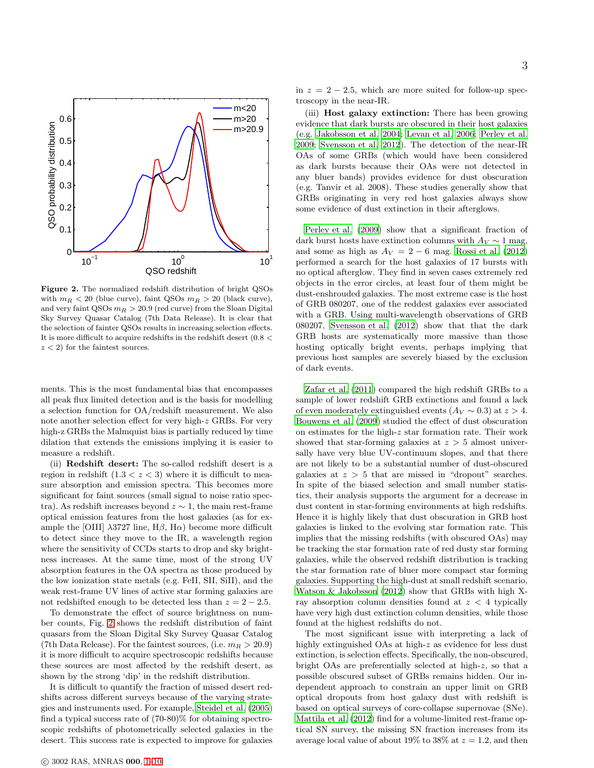

<span id="page-2-0"></span>Figure 2. The normalized redshift distribution of bright QSOs with  $m_R < 20$  (blue curve), faint QSOs  $m_R > 20$  (black curve), and very faint QSOs  $m_R > 20.9$  (red curve) from the Sloan Digital Sky Survey Quasar Catalog (7th Data Release). It is clear that the selection of fainter QSOs results in increasing selection effects. It is more difficult to acquire redshifts in the redshift desert  $(0.8 <$  $z < 2$ ) for the faintest sources.

ments. This is the most fundamental bias that encompasses all peak flux limited detection and is the basis for modelling a selection function for OA/redshift measurement. We also note another selection effect for very high-z GRBs. For very high-z GRBs the Malmquist bias is partially reduced by time dilation that extends the emissions implying it is easier to measure a redshift.

(ii) Redshift desert: The so-called redshift desert is a region in redshift  $(1.3 < z < 3)$  where it is difficult to measure absorption and emission spectra. This becomes more significant for faint sources (small signal to noise ratio spectra). As redshift increases beyond  $z \sim 1$ , the main rest-frame optical emission features from the host galaxies (as for example the [OIII]  $\lambda$ 3727 line, H $\beta$ , H $\alpha$ ) become more difficult to detect since they move to the IR, a wavelength region where the sensitivity of CCDs starts to drop and sky brightness increases. At the same time, most of the strong UV absorption features in the OA spectra as those produced by the low ionization state metals (e.g. FeII, SII, SiII), and the weak rest-frame UV lines of active star forming galaxies are not redshifted enough to be detected less than  $z = 2 - 2.5$ .

To demonstrate the effect of source brightness on number counts, Fig. [2](#page-2-0) shows the redshift distribution of faint quasars from the Sloan Digital Sky Survey Quasar Catalog (7th Data Release). For the faintest sources, (i.e.  $m_R > 20.9$ ) it is more difficult to acquire spectroscopic redshifts because these sources are most affected by the redshift desert, as shown by the strong 'dip' in the redshift distribution.

It is difficult to quantify the fraction of missed desert redshifts across different surveys because of the varying strategies and instruments used. For example, [Steidel et al. \(2005](#page-8-8)) find a typical success rate of (70-80)% for obtaining spectroscopic redshifts of photometrically selected galaxies in the desert. This success rate is expected to improve for galaxies

3

in  $z = 2 - 2.5$ , which are more suited for follow-up spectroscopy in the near-IR.

(iii) Host galaxy extinction: There has been growing evidence that dark bursts are obscured in their host galaxies (e.g. [Jakobsson et al. 2004;](#page-7-7) [Levan et al. 2006;](#page-8-9) [Perley et al.](#page-8-10) [2009](#page-8-10); [Svensson et al. 2012\)](#page-8-11). The detection of the near-IR OAs of some GRBs (which would have been considered as dark bursts because their OAs were not detected in any bluer bands) provides evidence for dust obscuration (e.g. Tanvir et al. 2008). These studies generally show that GRBs originating in very red host galaxies always show some evidence of dust extinction in their afterglows.

[Perley et al. \(2009](#page-8-10)) show that a significant fraction of dark burst hosts have extinction columns with  $A_V \sim 1$  mag, and some as high as  $A_V = 2 - 6$  mag. [Rossi et al. \(2012](#page-8-12)) performed a search for the host galaxies of 17 bursts with no optical afterglow. They find in seven cases extremely red objects in the error circles, at least four of them might be dust-enshrouded galaxies. The most extreme case is the host of GRB 080207, one of the reddest galaxies ever associated with a GRB. Using multi-wavelength observations of GRB 080207, [Svensson et al. \(2012](#page-8-11)) show that that the dark GRB hosts are systematically more massive than those hosting optically bright events, perhaps implying that previous host samples are severely biased by the exclusion of dark events.

[Zafar et al. \(2011\)](#page-8-13) compared the high redshift GRBs to a sample of lower redshift GRB extinctions and found a lack of even moderately extinguished events  $(A_V \sim 0.3)$  at  $z > 4$ . [Bouwens et al. \(2009\)](#page-7-8) studied the effect of dust obscuration on estimates for the high-z star formation rate. Their work showed that star-forming galaxies at  $z > 5$  almost universally have very blue UV-continuum slopes, and that there are not likely to be a substantial number of dust-obscured galaxies at  $z > 5$  that are missed in "dropout" searches. In spite of the biased selection and small number statistics, their analysis supports the argument for a decrease in dust content in star-forming environments at high redshifts. Hence it is highly likely that dust obscuration in GRB host galaxies is linked to the evolving star formation rate. This implies that the missing redshifts (with obscured OAs) may be tracking the star formation rate of red dusty star forming galaxies, while the observed redshift distribution is tracking the star formation rate of bluer more compact star forming galaxies. Supporting the high-dust at small redshift scenario, [Watson & Jakobsson \(2012](#page-8-14)) show that GRBs with high Xray absorption column densities found at  $z < 4$  typically have very high dust extinction column densities, while those found at the highest redshifts do not.

The most significant issue with interpreting a lack of highly extinguished OAs at high-z as evidence for less dust extinction, is selection effects. Specifically, the non-obscured, bright OAs are preferentially selected at high-z, so that a possible obscured subset of GRBs remains hidden. Our independent approach to constrain an upper limit on GRB optical dropouts from host galaxy dust with redshift is based on optical surveys of core-collapse supernovae (SNe). [Mattila et al. \(2012\)](#page-8-15) find for a volume-limited rest-frame optical SN survey, the missing SN fraction increases from its average local value of about 19% to 38% at  $z = 1.2$ , and then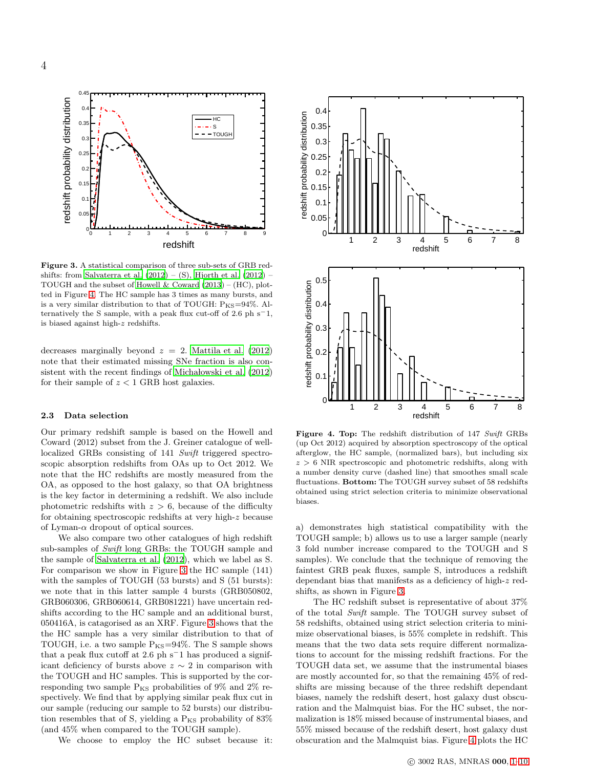

<span id="page-3-1"></span>Figure 3. A statistical comparison of three sub-sets of GRB redshifts: from Salvaterra et al.  $(2012) - (S)$ , Hjorth et al.  $(2012)$  – TOUGH and the subset of Howell  $&$  Coward (2013) – (HC), plotted in Figure [4.](#page-3-0) The HC sample has 3 times as many bursts, and is a very similar distribution to that of TOUGH:  $P_{KS}=94\%$ . Alternatively the S sample, with a peak flux cut-off of 2.6 ph s−1, is biased against high-z redshifts.

decreases marginally beyond  $z = 2$ . [Mattila et al. \(2012](#page-8-15)) note that their estimated missing SNe fraction is also consistent with the recent findings of Micha lowski et al.  $(2012)$ for their sample of  $z < 1$  GRB host galaxies.

# 2.3 Data selection

Our primary redshift sample is based on the Howell and Coward (2012) subset from the J. Greiner catalogue of welllocalized GRBs consisting of 141 Swift triggered spectroscopic absorption redshifts from OAs up to Oct 2012. We note that the HC redshifts are mostly measured from the OA, as opposed to the host galaxy, so that OA brightness is the key factor in determining a redshift. We also include photometric redshifts with  $z > 6$ , because of the difficulty for obtaining spectroscopic redshifts at very high-z because of Lyman- $\alpha$  dropout of optical sources.

We also compare two other catalogues of high redshift sub-samples of Swift long GRBs: the TOUGH sample and the sample of [Salvaterra et al. \(2012](#page-8-7)), which we label as S. For comparison we show in Figure [3](#page-3-1) the HC sample (141) with the samples of TOUGH (53 bursts) and S (51 bursts): we note that in this latter sample 4 bursts (GRB050802, GRB060306, GRB060614, GRB081221) have uncertain redshifts according to the HC sample and an additional burst, 050416A, is catagorised as an XRF. Figure [3](#page-3-1) shows that the the HC sample has a very similar distribution to that of TOUGH, i.e. a two sample  $P_{KS}=94\%$ . The S sample shows that a peak flux cutoff at 2.6 ph s<sup> $-1$ </sup> has produced a significant deficiency of bursts above  $z \sim 2$  in comparison with the TOUGH and HC samples. This is supported by the corresponding two sample  $P_{KS}$  probabilities of 9% and 2% respectively. We find that by applying similar peak flux cut in our sample (reducing our sample to 52 bursts) our distribution resembles that of S, yielding a  $P_{KS}$  probability of  $83\%$ (and 45% when compared to the TOUGH sample).

We choose to employ the HC subset because it:



<span id="page-3-0"></span>Figure 4. Top: The redshift distribution of 147 Swift GRBs (up Oct 2012) acquired by absorption spectroscopy of the optical afterglow, the HC sample, (normalized bars), but including six  $z > 6$  NIR spectroscopic and photometric redshifts, along with a number density curve (dashed line) that smoothes small scale fluctuations. Bottom: The TOUGH survey subset of 58 redshifts obtained using strict selection criteria to minimize observational biases.

a) demonstrates high statistical compatibility with the TOUGH sample; b) allows us to use a larger sample (nearly 3 fold number increase compared to the TOUGH and S samples). We conclude that the technique of removing the faintest GRB peak fluxes, sample S, introduces a redshift dependant bias that manifests as a deficiency of high-z redshifts, as shown in Figure [3.](#page-3-1)

The HC redshift subset is representative of about  $37\%$ of the total Swift sample. The TOUGH survey subset of 58 redshifts, obtained using strict selection criteria to minimize observational biases, is 55% complete in redshift. This means that the two data sets require different normalizations to account for the missing redshift fractions. For the TOUGH data set, we assume that the instrumental biases are mostly accounted for, so that the remaining 45% of redshifts are missing because of the three redshift dependant biases, namely the redshift desert, host galaxy dust obscuration and the Malmquist bias. For the HC subset, the normalization is 18% missed because of instrumental biases, and 55% missed because of the redshift desert, host galaxy dust obscuration and the Malmquist bias. Figure [4](#page-3-0) plots the HC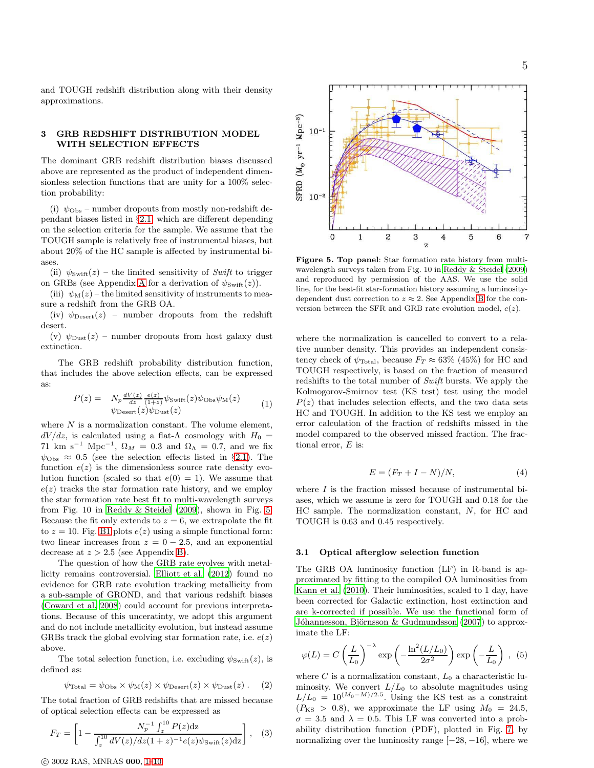and TOUGH redshift distribution along with their density approximations.

# 3 GRB REDSHIFT DISTRIBUTION MODEL WITH SELECTION EFFECTS

The dominant GRB redshift distribution biases discussed above are represented as the product of independent dimensionless selection functions that are unity for a 100% selection probability:

(i)  $\psi_{\text{Obs}}$  – number dropouts from mostly non-redshift dependant biases listed in §[2.1,](#page-1-2) which are different depending on the selection criteria for the sample. We assume that the TOUGH sample is relatively free of instrumental biases, but about 20% of the HC sample is affected by instrumental biases.

(ii)  $\psi_{\text{Swift}}(z)$  – the limited sensitivity of Swift to trigger on GRBs (see [A](#page-8-17)ppendix A for a derivation of  $\psi_{\text{Swift}}(z)$ ).

(iii)  $\psi_M(z)$  – the limited sensitivity of instruments to measure a redshift from the GRB OA.

(iv)  $\psi_{\text{Desert}}(z)$  – number dropouts from the redshift desert.

(v)  $\psi_{\text{Dust}}(z)$  – number dropouts from host galaxy dust extinction.

The GRB redshift probability distribution function, that includes the above selection effects, can be expressed as:

$$
P(z) = N_p \frac{dV(z)}{dz} \frac{e(z)}{(1+z)} \psi_{\text{Swift}}(z) \psi_{\text{Obs}} \psi_{\text{M}}(z)
$$
  

$$
\psi_{\text{Desert}}(z) \psi_{\text{Dust}}(z)
$$
 (1)

where  $N$  is a normalization constant. The volume element,  $dV/dz$ , is calculated using a flat- $\Lambda$  cosmology with  $H_0 =$ 71 km s<sup>-1</sup> Mpc<sup>-1</sup>,  $\Omega_M = 0.3$  and  $\Omega_{\Lambda} = 0.7$ , and we fix  $\psi_{\text{Obs}} \approx 0.5$  (see the selection effects listed in §[2.1\)](#page-1-2). The function  $e(z)$  is the dimensionless source rate density evolution function (scaled so that  $e(0) = 1$ ). We assume that  $e(z)$  tracks the star formation rate history, and we employ the star formation rate best fit to multi-wavelength surveys from Fig. 10 in [Reddy & Steidel \(2009\)](#page-8-18), shown in Fig. [5.](#page-4-0) Because the fit only extends to  $z = 6$ , we extrapolate the fit to  $z = 10$ . Fig. [B1](#page-9-0) plots  $e(z)$  using a simple functional form: two linear increases from  $z = 0 - 2.5$ , and an exponential decrease at  $z > 2.5$  (see Appendix [B\)](#page-9-1).

The question of how the GRB rate evolves with metallicity remains controversial. [Elliott et al. \(2012](#page-7-10)) found no evidence for GRB rate evolution tracking metallicity from a sub-sample of GROND, and that various redshift biases [\(Coward et al. 2008](#page-7-2)) could account for previous interpretations. Because of this unceratinty, we adopt this argument and do not include metallicity evolution, but instead assume GRBs track the global evolving star formation rate, i.e.  $e(z)$ above.

The total selection function, i.e. excluding  $\psi_{\text{Swift}}(z)$ , is defined as:

$$
\psi_{\text{Total}} = \psi_{\text{Obs}} \times \psi_{\text{M}}(z) \times \psi_{\text{Desert}}(z) \times \psi_{\text{Dust}}(z) . \quad (2)
$$

The total fraction of GRB redshifts that are missed because of optical selection effects can be expressed as

$$
F_T = \left[1 - \frac{N_p^{-1} \int_z^{10} P(z) dz}{\int_z^{10} dV(z) / dz (1+z)^{-1} e(z) \psi_{\text{Switch}}(z) dz}\right], \quad (3)
$$



<span id="page-4-0"></span>Figure 5. Top panel: Star formation rate history from multiwavelength surveys taken from Fig. 10 in [Reddy & Steidel \(2009\)](#page-8-18) and reproduced by permission of the AAS. We use the solid line, for the best-fit star-formation history assuming a luminositydependent dust correction to  $z \approx 2$ . See Appendix [B](#page-9-1) for the conversion between the SFR and GRB rate evolution model,  $e(z)$ .

where the normalization is cancelled to convert to a relative number density. This provides an independent consistency check of  $\psi_{\text{Total}}$ , because  $F_T \approx 63\%$  (45%) for HC and TOUGH respectively, is based on the fraction of measured redshifts to the total number of Swift bursts. We apply the Kolmogorov-Smirnov test (KS test) test using the model  $P(z)$  that includes selection effects, and the two data sets HC and TOUGH. In addition to the KS test we employ an error calculation of the fraction of redshifts missed in the model compared to the observed missed fraction. The fractional error,  $E$  is:

$$
E = (F_T + I - N)/N, \tag{4}
$$

where  $I$  is the fraction missed because of instrumental biases, which we assume is zero for TOUGH and 0.18 for the HC sample. The normalization constant, N, for HC and TOUGH is 0.63 and 0.45 respectively.

#### 3.1 Optical afterglow selection function

The GRB OA luminosity function (LF) in R-band is approximated by fitting to the compiled OA luminosities from [Kann et al. \(2010](#page-7-11)). Their luminosities, scaled to 1 day, have been corrected for Galactic extinction, host extinction and are k-corrected if possible. We use the functional form of Jóhannesson, Björnsson & Gudmundsson (2007) to approximate the LF:

<span id="page-4-1"></span>
$$
\varphi(L) = C \left(\frac{L}{L_0}\right)^{-\lambda} \exp\left(-\frac{\ln^2(L/L_0)}{2\sigma^2}\right) \exp\left(-\frac{L}{L_0}\right) , \tag{5}
$$

where  $C$  is a normalization constant,  $L_0$  a characteristic luminosity. We convert  $L/L_0$  to absolute magnitudes using  $L/L_0 = 10^{(M_0 - M)/2.5}$ . Using the KS test as a constraint  $(P_{\text{KS}} > 0.8)$ , we approximate the LF using  $M_0 = 24.5$ ,  $\sigma = 3.5$  and  $\lambda = 0.5$ . This LF was converted into a probability distribution function (PDF), plotted in Fig. [7,](#page-5-0) by normalizing over the luminosity range  $[-28, -16]$ , where we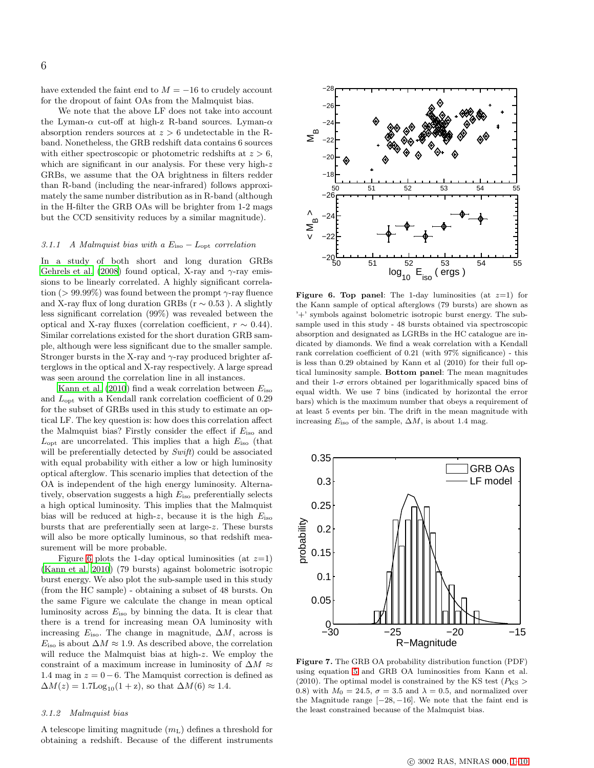have extended the faint end to  $M=-16$  to crudely account for the dropout of faint OAs from the Malmquist bias.

We note that the above LF does not take into account the Lyman- $\alpha$  cut-off at high-z R-band sources. Lyman- $\alpha$ absorption renders sources at  $z > 6$  undetectable in the Rband. Nonetheless, the GRB redshift data contains 6 sources with either spectroscopic or photometric redshifts at  $z > 6$ , which are significant in our analysis. For these very high- $z$ GRBs, we assume that the OA brightness in filters redder than R-band (including the near-infrared) follows approximately the same number distribution as in R-band (although in the H-filter the GRB OAs will be brighter from 1-2 mags but the CCD sensitivity reduces by a similar magnitude).

### 3.1.1 A Malmquist bias with a  $E_{\text{iso}} - L_{\text{opt}}$  correlation

In a study of both short and long duration GRBs [Gehrels et al. \(2008\)](#page-7-13) found optical, X-ray and  $\gamma$ -ray emissions to be linearly correlated. A highly significant correlation (> 99.99%) was found between the prompt  $\gamma$ -ray fluence and X-ray flux of long duration GRBs ( $r \sim 0.53$ ). A slightly less significant correlation (99%) was revealed between the optical and X-ray fluxes (correlation coefficient,  $r \sim 0.44$ ). Similar correlations existed for the short duration GRB sample, although were less significant due to the smaller sample. Stronger bursts in the X-ray and  $\gamma$ -ray produced brighter afterglows in the optical and X-ray respectively. A large spread was seen around the correlation line in all instances.

[Kann et al. \(2010](#page-7-11)) find a weak correlation between  $E_{\text{iso}}$ and  $L_{\text{opt}}$  with a Kendall rank correlation coefficient of 0.29 for the subset of GRBs used in this study to estimate an optical LF. The key question is: how does this correlation affect the Malmquist bias? Firstly consider the effect if  $E_{\text{iso}}$  and  $L_{\text{opt}}$  are uncorrelated. This implies that a high  $E_{\text{iso}}$  (that will be preferentially detected by Swift) could be associated with equal probability with either a low or high luminosity optical afterglow. This scenario implies that detection of the OA is independent of the high energy luminosity. Alternatively, observation suggests a high  $E_{\text{iso}}$  preferentially selects a high optical luminosity. This implies that the Malmquist bias will be reduced at high-z, because it is the high  $E_{\text{iso}}$ bursts that are preferentially seen at large-z. These bursts will also be more optically luminous, so that redshift measurement will be more probable.

Figure [6](#page-5-1) plots the 1-day optical luminosities (at  $z=1$ ) [\(Kann et al. 2010](#page-7-11)) (79 bursts) against bolometric isotropic burst energy. We also plot the sub-sample used in this study (from the HC sample) - obtaining a subset of 48 bursts. On the same Figure we calculate the change in mean optical luminosity across  $E_{\text{iso}}$  by binning the data. It is clear that there is a trend for increasing mean OA luminosity with increasing  $E_{\text{iso}}$ . The change in magnitude,  $\Delta M$ , across is  $E_{\text{iso}}$  is about  $\Delta M \approx 1.9$ . As described above, the correlation will reduce the Malmquist bias at high-z. We employ the constraint of a maximum increase in luminosity of  $\Delta M \approx$ 1.4 mag in  $z = 0-6$ . The Mamquist correction is defined as  $\Delta M(z) = 1.7$ Log<sub>10</sub>(1+z), so that  $\Delta M(6) \approx 1.4$ .

#### 3.1.2 Malmquist bias

A telescope limiting magnitude  $(m<sub>L</sub>)$  defines a threshold for obtaining a redshift. Because of the different instruments



<span id="page-5-1"></span>Figure 6. Top panel: The 1-day luminosities (at  $z=1$ ) for the Kann sample of optical afterglows (79 bursts) are shown as '+' symbols against bolometric isotropic burst energy. The subsample used in this study - 48 bursts obtained via spectroscopic absorption and designated as LGRBs in the HC catalogue are indicated by diamonds. We find a weak correlation with a Kendall rank correlation coefficient of 0.21 (with 97% significance) - this is less than 0.29 obtained by Kann et al (2010) for their full optical luminosity sample. Bottom panel: The mean magnitudes and their 1- $\sigma$  errors obtained per logarithmically spaced bins of equal width. We use 7 bins (indicated by horizontal the error bars) which is the maximum number that obeys a requirement of at least 5 events per bin. The drift in the mean magnitude with increasing  $E_{\text{iso}}$  of the sample,  $\Delta M$ , is about 1.4 mag.



<span id="page-5-0"></span>Figure 7. The GRB OA probability distribution function (PDF) using equation [5](#page-4-1) and GRB OA luminosities from Kann et al. (2010). The optimal model is constrained by the KS test ( $P_{KS}$ ) 0.8) with  $M_0 = 24.5$ ,  $\sigma = 3.5$  and  $\lambda = 0.5$ , and normalized over the Magnitude range  $[-28, -16]$ . We note that the faint end is the least constrained because of the Malmquist bias.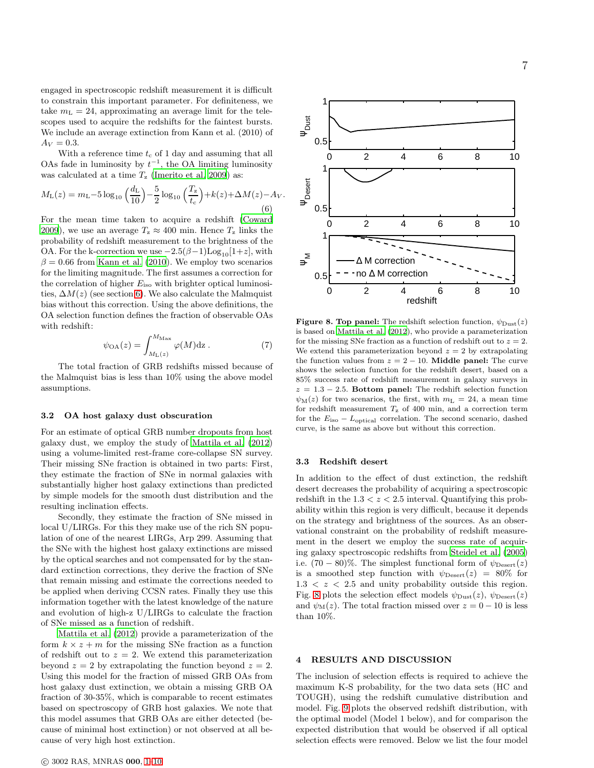engaged in spectroscopic redshift measurement it is difficult to constrain this important parameter. For definiteness, we take  $m<sub>L</sub> = 24$ , approximating an average limit for the telescopes used to acquire the redshifts for the faintest bursts. We include an average extinction from Kann et al. (2010) of  $A_V = 0.3$ .

With a reference time  $t_c$  of 1 day and assuming that all OAs fade in luminosity by  $t^{-1}$ , the OA limiting luminosity was calculated at a time  $T_{\rm z}$  [\(Imerito et al. 2009](#page-7-14)) as:

$$
M_{\rm L}(z) = m_{\rm L} - 5\log_{10}\left(\frac{d_{\rm L}}{10}\right) - \frac{5}{2}\log_{10}\left(\frac{T_z}{t_{\rm c}}\right) + k(z) + \Delta M(z) - A_V.
$$
\n(6)

For the mean time taken to acquire a redshift [\(Coward](#page-7-5) [2009](#page-7-5)), we use an average  $T_z \approx 400$  min. Hence  $T_z$  links the probability of redshift measurement to the brightness of the OA. For the k-correction we use  $-2.5(\beta-1)\text{Log}_{10}[1+z]$ , with  $\beta = 0.66$  from [Kann et al. \(2010](#page-7-11)). We employ two scenarios for the limiting magnitude. The first assumes a correction for the correlation of higher  $E_{\text{iso}}$  with brighter optical luminosities,  $\Delta M(z)$  (see section [6\)](#page-5-1). We also calculate the Malmquist bias without this correction. Using the above definitions, the OA selection function defines the fraction of observable OAs with redshift:

$$
\psi_{\text{OA}}(z) = \int_{M_{\text{L}}(z)}^{M_{\text{Max}}} \varphi(M) \text{dz} . \tag{7}
$$

The total fraction of GRB redshifts missed because of the Malmquist bias is less than 10% using the above model assumptions.

# 3.2 OA host galaxy dust obscuration

For an estimate of optical GRB number dropouts from host galaxy dust, we employ the study of [Mattila et al. \(2012](#page-8-15)) using a volume-limited rest-frame core-collapse SN survey. Their missing SNe fraction is obtained in two parts: First, they estimate the fraction of SNe in normal galaxies with substantially higher host galaxy extinctions than predicted by simple models for the smooth dust distribution and the resulting inclination effects.

Secondly, they estimate the fraction of SNe missed in local U/LIRGs. For this they make use of the rich SN population of one of the nearest LIRGs, Arp 299. Assuming that the SNe with the highest host galaxy extinctions are missed by the optical searches and not compensated for by the standard extinction corrections, they derive the fraction of SNe that remain missing and estimate the corrections needed to be applied when deriving CCSN rates. Finally they use this information together with the latest knowledge of the nature and evolution of high-z U/LIRGs to calculate the fraction of SNe missed as a function of redshift.

[Mattila et al. \(2012\)](#page-8-15) provide a parameterization of the form  $k \times z + m$  for the missing SNe fraction as a function of redshift out to  $z = 2$ . We extend this parameterization beyond  $z = 2$  by extrapolating the function beyond  $z = 2$ . Using this model for the fraction of missed GRB OAs from host galaxy dust extinction, we obtain a missing GRB OA fraction of 30-35%, which is comparable to recent estimates based on spectroscopy of GRB host galaxies. We note that this model assumes that GRB OAs are either detected (because of minimal host extinction) or not observed at all because of very high host extinction.





<span id="page-6-0"></span>**Figure 8. Top panel:** The redshift selection function,  $\psi_{\text{Dust}}(z)$ is based on [Mattila et al. \(2012\)](#page-8-15), who provide a parameterization for the missing SNe fraction as a function of redshift out to  $z = 2$ . We extend this parameterization beyond  $z = 2$  by extrapolating the function values from  $z = 2 - 10$ . **Middle panel:** The curve shows the selection function for the redshift desert, based on a 85% success rate of redshift measurement in galaxy surveys in  $z = 1.3 - 2.5$ . Bottom panel: The redshift selection function  $\psi_{\text{M}}(z)$  for two scenarios, the first, with  $m<sub>L</sub> = 24$ , a mean time for redshift measurement  $T_z$  of 400 min, and a correction term for the  $E_{\rm iso}$  –  $L_{\rm optical}$  correlation. The second scenario, dashed curve, is the same as above but without this correction.

### 3.3 Redshift desert

In addition to the effect of dust extinction, the redshift desert decreases the probability of acquiring a spectroscopic redshift in the  $1.3 < z < 2.5$  interval. Quantifying this probability within this region is very difficult, because it depends on the strategy and brightness of the sources. As an observational constraint on the probability of redshift measurement in the desert we employ the success rate of acquiring galaxy spectroscopic redshifts from [Steidel et al. \(2005](#page-8-8)) i.e.  $(70-80)\%$ . The simplest functional form of  $\psi_{\text{Desert}}(z)$ is a smoothed step function with  $\psi_{\text{Desert}}(z) = 80\%$  for  $1.3 < z < 2.5$  and unity probability outside this region. Fig. [8](#page-6-0) plots the selection effect models  $\psi_{\text{Dust}}(z)$ ,  $\psi_{\text{Desert}}(z)$ and  $\psi_{\text{M}}(z)$ . The total fraction missed over  $z = 0 - 10$  is less than 10%.

#### 4 RESULTS AND DISCUSSION

The inclusion of selection effects is required to achieve the maximum K-S probability, for the two data sets (HC and TOUGH), using the redshift cumulative distribution and model. Fig. [9](#page-8-19) plots the observed redshift distribution, with the optimal model (Model 1 below), and for comparison the expected distribution that would be observed if all optical selection effects were removed. Below we list the four model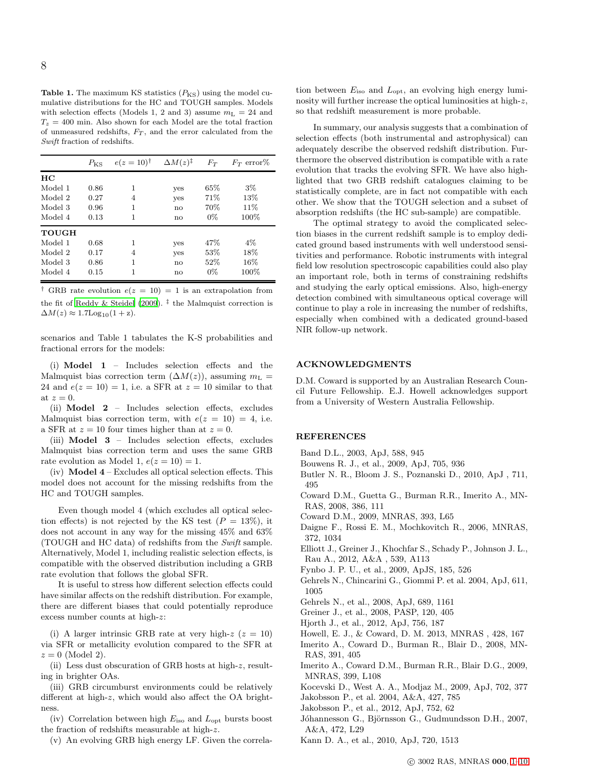**Table 1.** The maximum KS statistics  $(P_{\text{KS}})$  using the model cumulative distributions for the HC and TOUGH samples. Models with selection effects (Models 1, 2 and 3) assume  $m<sub>L</sub> = 24$  and  $T_z = 400$  min. Also shown for each Model are the total fraction of unmeasured redshifts,  $F_T$ , and the error calculated from the Swift fraction of redshifts.

|         | $P_{\rm KS}$ | $e(z=10)^{\dagger}$ | $\Delta M(z)^{\ddagger}$ | $F_T$  | $F_T$ error% |
|---------|--------------|---------------------|--------------------------|--------|--------------|
| HС      |              |                     |                          |        |              |
| Model 1 | 0.86         | 1                   | yes                      | 65%    | $3\%$        |
| Model 2 | 0.27         | $\overline{4}$      | yes                      | 71%    | 13%          |
| Model 3 | 0.96         | 1                   | no                       | 70%    | 11\%         |
| Model 4 | 0.13         | 1                   | no                       | $0\%$  | 100%         |
| TOUGH   |              |                     |                          |        |              |
| Model 1 | 0.68         | 1                   | yes                      | 47%    | $4\%$        |
| Model 2 | 0.17         | 4                   | yes                      | $53\%$ | 18%          |
| Model 3 | 0.86         | 1                   | no                       | 52%    | 16%          |
| Model 4 | 0.15         | 1                   | no                       | $0\%$  | 100%         |

<sup>†</sup> GRB rate evolution  $e(z = 10) = 1$  is an extrapolation from the fit of [Reddy & Steidel \(2009](#page-8-18)). ‡ the Malmquist correction is  $\Delta M(z) \approx 1.7$ Log<sub>10</sub> $(1 + z)$ .

scenarios and Table 1 tabulates the K-S probabilities and fractional errors for the models:

(i) Model 1 – Includes selection effects and the Malmquist bias correction term  $(\Delta M(z))$ , assuming  $m_{\rm L} =$ 24 and  $e(z = 10) = 1$ , i.e. a SFR at  $z = 10$  similar to that at  $z=0$ .

(ii) Model 2 – Includes selection effects, excludes Malmquist bias correction term, with  $e(z = 10) = 4$ , i.e. a SFR at  $z = 10$  four times higher than at  $z = 0$ .

(iii) Model 3 – Includes selection effects, excludes Malmquist bias correction term and uses the same GRB rate evolution as Model 1,  $e(z = 10) = 1$ .

(iv) Model 4 – Excludes all optical selection effects. This model does not account for the missing redshifts from the HC and TOUGH samples.

Even though model 4 (which excludes all optical selection effects) is not rejected by the KS test  $(P = 13\%)$ , it does not account in any way for the missing 45% and 63% (TOUGH and HC data) of redshifts from the Swift sample. Alternatively, Model 1, including realistic selection effects, is compatible with the observed distribution including a GRB rate evolution that follows the global SFR.

It is useful to stress how different selection effects could have similar affects on the redshift distribution. For example, there are different biases that could potentially reproduce excess number counts at high-z:

(i) A larger intrinsic GRB rate at very high-z  $(z = 10)$ via SFR or metallicity evolution compared to the SFR at  $z = 0$  (Model 2).

(ii) Less dust obscuration of GRB hosts at high-z, resulting in brighter OAs.

(iii) GRB circumburst environments could be relatively different at high-z, which would also affect the OA brightness.

(iv) Correlation between high  $E_{\text{iso}}$  and  $L_{\text{opt}}$  bursts boost the fraction of redshifts measurable at high-z.

(v) An evolving GRB high energy LF. Given the correla-

tion between  $E_{\text{iso}}$  and  $L_{\text{opt}}$ , an evolving high energy luminosity will further increase the optical luminosities at high-z, so that redshift measurement is more probable.

In summary, our analysis suggests that a combination of selection effects (both instrumental and astrophysical) can adequately describe the observed redshift distribution. Furthermore the observed distribution is compatible with a rate evolution that tracks the evolving SFR. We have also highlighted that two GRB redshift catalogues claiming to be statistically complete, are in fact not compatible with each other. We show that the TOUGH selection and a subset of absorption redshifts (the HC sub-sample) are compatible.

The optimal strategy to avoid the complicated selection biases in the current redshift sample is to employ dedicated ground based instruments with well understood sensitivities and performance. Robotic instruments with integral field low resolution spectroscopic capabilities could also play an important role, both in terms of constraining redshifts and studying the early optical emissions. Also, high-energy detection combined with simultaneous optical coverage will continue to play a role in increasing the number of redshifts, especially when combined with a dedicated ground-based NIR follow-up network.

# ACKNOWLEDGMENTS

D.M. Coward is supported by an Australian Research Council Future Fellowship. E.J. Howell acknowledges support from a University of Western Australia Fellowship.

# **REFERENCES**

- <span id="page-7-15"></span>Band D.L., 2003, ApJ, 588, 945
- <span id="page-7-8"></span>Bouwens R. J., et al., 2009, ApJ, 705, 936
- Butler N. R., Bloom J. S., Poznanski D., 2010, ApJ , 711, 495
- <span id="page-7-2"></span>Coward D.M., Guetta G., Burman R.R., Imerito A., MN-RAS, 2008, 386, 111
- <span id="page-7-5"></span>Coward D.M., 2009, MNRAS, 393, L65
- <span id="page-7-1"></span>Daigne F., Rossi E. M., Mochkovitch R., 2006, MNRAS, 372, 1034
- <span id="page-7-10"></span>Elliott J., Greiner J., Khochfar S., Schady P., Johnson J. L., Rau A., 2012, A&A , 539, A113
- <span id="page-7-4"></span>Fynbo J. P. U., et al., 2009, ApJS, 185, 526
- <span id="page-7-0"></span>Gehrels N., Chincarini G., Giommi P. et al. 2004, ApJ, 611, 1005
- <span id="page-7-13"></span>Gehrels N., et al., 2008, ApJ, 689, 1161
- <span id="page-7-6"></span>Greiner J., et al., 2008, PASP, 120, 405
- <span id="page-7-3"></span>Hjorth J., et al., 2012, ApJ, 756, 187
- <span id="page-7-9"></span>Howell, E. J., & Coward, D. M. 2013, MNRAS , 428, 167
- Imerito A., Coward D., Burman R., Blair D., 2008, MN-RAS, 391, 405
- <span id="page-7-14"></span>Imerito A., Coward D.M., Burman R.R., Blair D.G., 2009, MNRAS, 399, L108
- Kocevski D., West A. A., Modjaz M., 2009, ApJ, 702, 377
- <span id="page-7-7"></span>Jakobsson P., et al. 2004, A&A, 427, 785
- Jakobsson P., et al., 2012, ApJ, 752, 62
- <span id="page-7-12"></span>Jóhannesson G., Björnsson G., Gudmundsson D.H., 2007, A&A, 472, L29
- <span id="page-7-11"></span>Kann D. A., et al., 2010, ApJ, 720, 1513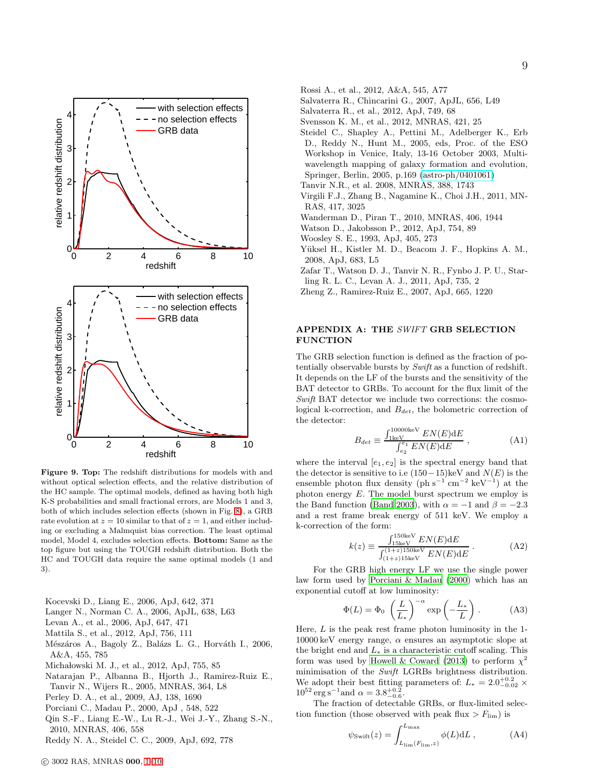

<span id="page-8-19"></span>Figure 9. Top: The redshift distributions for models with and without optical selection effects, and the relative distribution of the HC sample. The optimal models, defined as having both high K-S probabilities and small fractional errors, are Models 1 and 3, both of which includes selection effects (shown in Fig. [8\)](#page-6-0), a GRB rate evolution at  $z = 10$  similar to that of  $z = 1$ , and either including or excluding a Malmquist bias correction. The least optimal model, Model 4, excludes selection effects. Bottom: Same as the top figure but using the TOUGH redshift distribution. Both the HC and TOUGH data require the same optimal models (1 and 3).

- <span id="page-8-6"></span>Kocevski D., Liang E., 2006, ApJ, 642, 371
- Langer N., Norman C. A., 2006, ApJL, 638, L63
- <span id="page-8-9"></span>Levan A., et al., 2006, ApJ, 647, 471
- <span id="page-8-15"></span>Mattila S., et al., 2012, ApJ, 756, 111
- <span id="page-8-1"></span>Mészáros A., Bagoly Z., Balázs L. G., Horváth I., 2006, A&A, 455, 785
- <span id="page-8-16"></span>Michałowski M. J., et al., 2012, ApJ, 755, 85
- <span id="page-8-0"></span>Natarajan P., Albanna B., Hjorth J., Ramirez-Ruiz E., Tanvir N., Wijers R., 2005, MNRAS, 364, L8
- <span id="page-8-10"></span>Perley D. A., et al., 2009, AJ, 138, 1690
- <span id="page-8-20"></span>Porciani C., Madau P., 2000, ApJ , 548, 522
- <span id="page-8-4"></span>Qin S.-F., Liang E.-W., Lu R.-J., Wei J.-Y., Zhang S.-N., 2010, MNRAS, 406, 558
- <span id="page-8-18"></span>Reddy N. A., Steidel C. C., 2009, ApJ, 692, 778
- <span id="page-8-12"></span>Rossi A., et al., 2012, A&A, 545, A77
- Salvaterra R., Chincarini G., 2007, ApJL, 656, L49
- <span id="page-8-7"></span>Salvaterra R., et al., 2012, ApJ, 749, 68
- <span id="page-8-11"></span>Svensson K. M., et al., 2012, MNRAS, 421, 25
- <span id="page-8-8"></span>Steidel C., Shapley A., Pettini M., Adelberger K., Erb D., Reddy N., Hunt M., 2005, eds, Proc. of the ESO Workshop in Venice, Italy, 13-16 October 2003, Multiwavelength mapping of galaxy formation and evolution, Springer, Berlin, 2005, p.169 [\(astro-ph/0401061\)](http://arxiv.org/abs/astro-ph/0401061)
- Tanvir N.R., et al. 2008, MNRAS, 388, 1743
- <span id="page-8-5"></span>Virgili F.J., Zhang B., Nagamine K., Choi J.H., 2011, MN-RAS, 417, 3025
- <span id="page-8-3"></span>Wanderman D., Piran T., 2010, MNRAS, 406, 1944
- <span id="page-8-14"></span>Watson D., Jakobsson P., 2012, ApJ, 754, 89
- Woosley S. E., 1993, ApJ, 405, 273
- <span id="page-8-2"></span>Yüksel H., Kistler M. D., Beacom J. F., Hopkins A. M., 2008, ApJ, 683, L5
- <span id="page-8-13"></span>Zafar T., Watson D. J., Tanvir N. R., Fynbo J. P. U., Starling R. L. C., Levan A. J., 2011, ApJ, 735, 2
- Zheng Z., Ramirez-Ruiz E., 2007, ApJ, 665, 1220

# <span id="page-8-17"></span>APPENDIX A: THE SWIFT GRB SELECTION FUNCTION

The GRB selection function is defined as the fraction of potentially observable bursts by Swift as a function of redshift. It depends on the LF of the bursts and the sensitivity of the BAT detector to GRBs. To account for the flux limit of the Swift BAT detector we include two corrections: the cosmological k-correction, and  $B_{det}$ , the bolometric correction of the detector:

$$
B_{det} \equiv \frac{\int_{1\text{keV}}^{10000\text{keV}} EN(E)\text{d}E}{\int_{e_2}^{e_1} EN(E)\text{d}E}, \qquad (A1)
$$

where the interval  $[e_1, e_2]$  is the spectral energy band that the detector is sensitive to i.e  $(150-15)$ keV and  $N(E)$  is the ensemble photon flux density (ph s<sup>-1</sup> cm<sup>-2</sup> keV<sup>-1</sup>) at the photon energy  $E$ . The model burst spectrum we employ is the Band function [\(Band 2003](#page-7-15)), with  $\alpha = -1$  and  $\beta = -2.3$ and a rest frame break energy of 511 keV. We employ a k-correction of the form:

$$
k(z) \equiv \frac{\int_{150 \text{keV}}^{150 \text{keV}} EN(E) \text{d}E}{\int_{(1+z)150 \text{keV}}^{(1+z)150 \text{keV}} EN(E) \text{d}E} \,. \tag{A2}
$$

For the GRB high energy LF we use the single power law form used by [Porciani & Madau \(2000\)](#page-8-20) which has an exponential cutoff at low luminosity:

$$
\Phi(L) = \Phi_0 \left(\frac{L}{L_*}\right)^{-\alpha} \exp\left(-\frac{L_*}{L}\right). \tag{A3}
$$

Here,  $L$  is the peak rest frame photon luminosity in the 1- $10000 \,\text{keV}$  energy range,  $\alpha$  ensures an asymptotic slope at the bright end and  $L_*$  is a characteristic cutoff scaling. This form was used by [Howell & Coward \(2013\)](#page-7-9) to perform  $\chi^2$ minimisation of the  $\it Swift$  LGRBs brightness distribution. We adopt their best fitting parameters of:  $L_* = 2.0^{+0.2}_{-0.02}$  ×  $10^{52} \text{ erg s}^{-1}$  and  $\alpha = 3.8^{+0.2}_{-0.6}$ .

The fraction of detectable GRBs, or flux-limited selection function (those observed with peak flux  $>F_{\text{lim}}$ ) is

$$
\psi_{\text{Swift}}(z) = \int_{L_{\text{lim}}(F_{\text{lim}}, z)}^{L_{\text{max}}} \phi(L) \mathrm{d}L , \qquad (A4)
$$

9